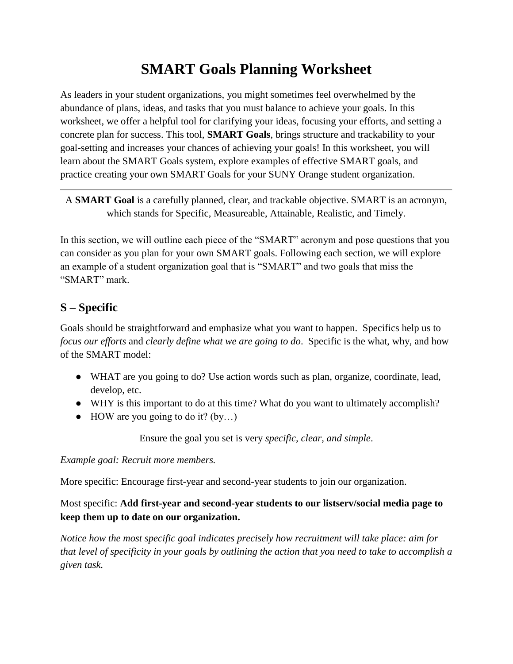## **SMART Goals Planning Worksheet**

As leaders in your student organizations, you might sometimes feel overwhelmed by the abundance of plans, ideas, and tasks that you must balance to achieve your goals. In this worksheet, we offer a helpful tool for clarifying your ideas, focusing your efforts, and setting a concrete plan for success. This tool, **SMART Goals**, brings structure and trackability to your goal-setting and increases your chances of achieving your goals! In this worksheet, you will learn about the SMART Goals system, explore examples of effective SMART goals, and practice creating your own SMART Goals for your SUNY Orange student organization.

A **SMART Goal** is a carefully planned, clear, and trackable objective. SMART is an acronym, which stands for Specific, Measureable, Attainable, Realistic, and Timely.

In this section, we will outline each piece of the "SMART" acronym and pose questions that you can consider as you plan for your own SMART goals. Following each section, we will explore an example of a student organization goal that is "SMART" and two goals that miss the "SMART" mark.

## **S – Specific**

Goals should be straightforward and emphasize what you want to happen. Specifics help us to *focus our efforts* and *clearly define what we are going to do*. Specific is the what, why, and how of the SMART model:

- WHAT are you going to do? Use action words such as plan, organize, coordinate, lead, develop, etc.
- WHY is this important to do at this time? What do you want to ultimately accomplish?
- $\bullet$  HOW are you going to do it? (by...)

Ensure the goal you set is very *specific, clear, and simple*.

*Example goal: Recruit more members.*

More specific: Encourage first-year and second-year students to join our organization.

#### Most specific: **Add first-year and second-year students to our listserv/social media page to keep them up to date on our organization.**

*Notice how the most specific goal indicates precisely how recruitment will take place: aim for that level of specificity in your goals by outlining the action that you need to take to accomplish a given task.*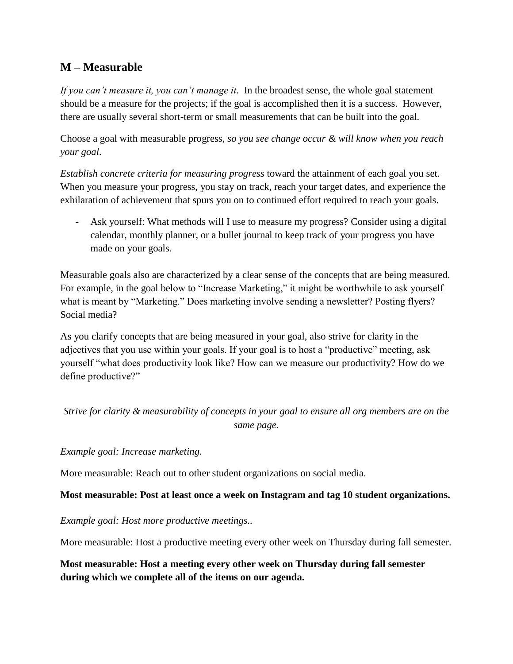#### **M – Measurable**

*If you can't measure it, you can't manage it*. In the broadest sense, the whole goal statement should be a measure for the projects; if the goal is accomplished then it is a success. However, there are usually several short-term or small measurements that can be built into the goal.

Choose a goal with measurable progress, *so you see change occur & will know when you reach your goal*.

*Establish concrete criteria for measuring progress* toward the attainment of each goal you set. When you measure your progress, you stay on track, reach your target dates, and experience the exhilaration of achievement that spurs you on to continued effort required to reach your goals.

Ask yourself: What methods will I use to measure my progress? Consider using a digital calendar, monthly planner, or a bullet journal to keep track of your progress you have made on your goals.

Measurable goals also are characterized by a clear sense of the concepts that are being measured. For example, in the goal below to "Increase Marketing," it might be worthwhile to ask yourself what is meant by "Marketing." Does marketing involve sending a newsletter? Posting flyers? Social media?

As you clarify concepts that are being measured in your goal, also strive for clarity in the adjectives that you use within your goals. If your goal is to host a "productive" meeting, ask yourself "what does productivity look like? How can we measure our productivity? How do we define productive?"

```
Strive for clarity & measurability of concepts in your goal to ensure all org members are on the 
                              same page.
```
*Example goal: Increase marketing.*

More measurable: Reach out to other student organizations on social media.

#### **Most measurable: Post at least once a week on Instagram and tag 10 student organizations.**

*Example goal: Host more productive meetings..*

More measurable: Host a productive meeting every other week on Thursday during fall semester.

**Most measurable: Host a meeting every other week on Thursday during fall semester during which we complete all of the items on our agenda.**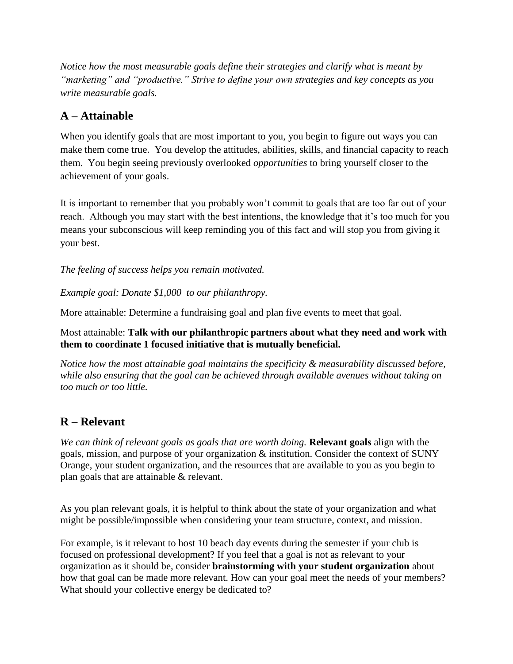*Notice how the most measurable goals define their strategies and clarify what is meant by "marketing" and "productive." Strive to define your own strategies and key concepts as you write measurable goals.*

## **A – Attainable**

When you identify goals that are most important to you, you begin to figure out ways you can make them come true. You develop the attitudes, abilities, skills, and financial capacity to reach them. You begin seeing previously overlooked *opportunities* to bring yourself closer to the achievement of your goals.

It is important to remember that you probably won't commit to goals that are too far out of your reach. Although you may start with the best intentions, the knowledge that it's too much for you means your subconscious will keep reminding you of this fact and will stop you from giving it your best.

*The feeling of success helps you remain motivated.* 

*Example goal: Donate \$1,000 to our philanthropy.*

More attainable: Determine a fundraising goal and plan five events to meet that goal.

Most attainable: **Talk with our philanthropic partners about what they need and work with them to coordinate 1 focused initiative that is mutually beneficial.**

*Notice how the most attainable goal maintains the specificity & measurability discussed before, while also ensuring that the goal can be achieved through available avenues without taking on too much or too little.*

### **R – Relevant**

*We can think of relevant goals as goals that are worth doing.* **Relevant goals** align with the goals, mission, and purpose of your organization & institution. Consider the context of SUNY Orange, your student organization, and the resources that are available to you as you begin to plan goals that are attainable & relevant.

As you plan relevant goals, it is helpful to think about the state of your organization and what might be possible/impossible when considering your team structure, context, and mission.

For example, is it relevant to host 10 beach day events during the semester if your club is focused on professional development? If you feel that a goal is not as relevant to your organization as it should be, consider **brainstorming with your student organization** about how that goal can be made more relevant. How can your goal meet the needs of your members? What should your collective energy be dedicated to?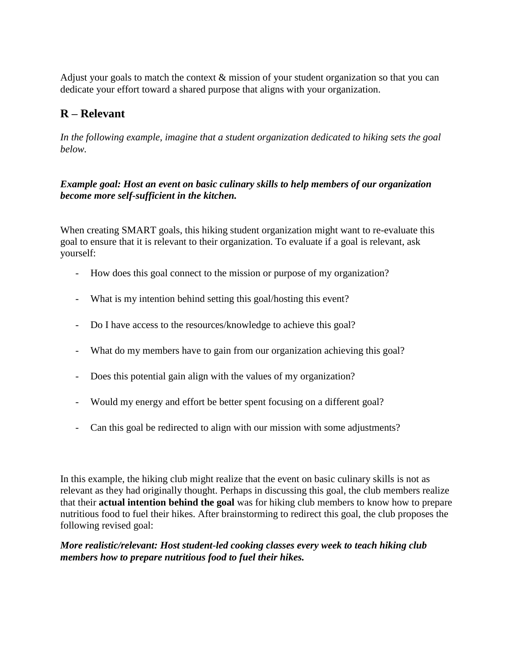Adjust your goals to match the context & mission of your student organization so that you can dedicate your effort toward a shared purpose that aligns with your organization.

### **R – Relevant**

*In the following example, imagine that a student organization dedicated to hiking sets the goal below.*

*Example goal: Host an event on basic culinary skills to help members of our organization become more self-sufficient in the kitchen.*

When creating SMART goals, this hiking student organization might want to re-evaluate this goal to ensure that it is relevant to their organization. To evaluate if a goal is relevant, ask yourself:

- How does this goal connect to the mission or purpose of my organization?
- What is my intention behind setting this goal/hosting this event?
- Do I have access to the resources/knowledge to achieve this goal?
- What do my members have to gain from our organization achieving this goal?
- Does this potential gain align with the values of my organization?
- Would my energy and effort be better spent focusing on a different goal?
- Can this goal be redirected to align with our mission with some adjustments?

In this example, the hiking club might realize that the event on basic culinary skills is not as relevant as they had originally thought. Perhaps in discussing this goal, the club members realize that their **actual intention behind the goal** was for hiking club members to know how to prepare nutritious food to fuel their hikes. After brainstorming to redirect this goal, the club proposes the following revised goal:

#### *More realistic/relevant: Host student-led cooking classes every week to teach hiking club members how to prepare nutritious food to fuel their hikes.*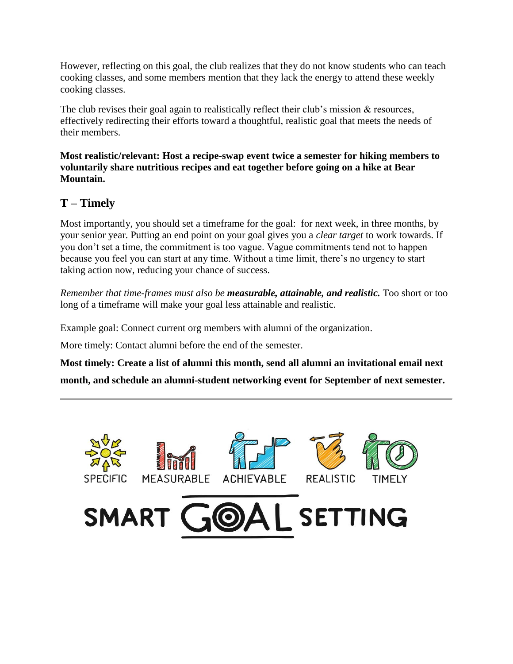However, reflecting on this goal, the club realizes that they do not know students who can teach cooking classes, and some members mention that they lack the energy to attend these weekly cooking classes.

The club revises their goal again to realistically reflect their club's mission  $\&$  resources, effectively redirecting their efforts toward a thoughtful, realistic goal that meets the needs of their members.

**Most realistic/relevant: Host a recipe-swap event twice a semester for hiking members to voluntarily share nutritious recipes and eat together before going on a hike at Bear Mountain.**

### **T – Timely**

Most importantly, you should set a timeframe for the goal: for next week, in three months, by your senior year. Putting an end point on your goal gives you a *clear target* to work towards. If you don't set a time, the commitment is too vague. Vague commitments tend not to happen because you feel you can start at any time. Without a time limit, there's no urgency to start taking action now, reducing your chance of success.

*Remember that time-frames must also be measurable, attainable, and realistic.* Too short or too long of a timeframe will make your goal less attainable and realistic.

Example goal: Connect current org members with alumni of the organization.

More timely: Contact alumni before the end of the semester.

**Most timely: Create a list of alumni this month, send all alumni an invitational email next month, and schedule an alumni-student networking event for September of next semester.**

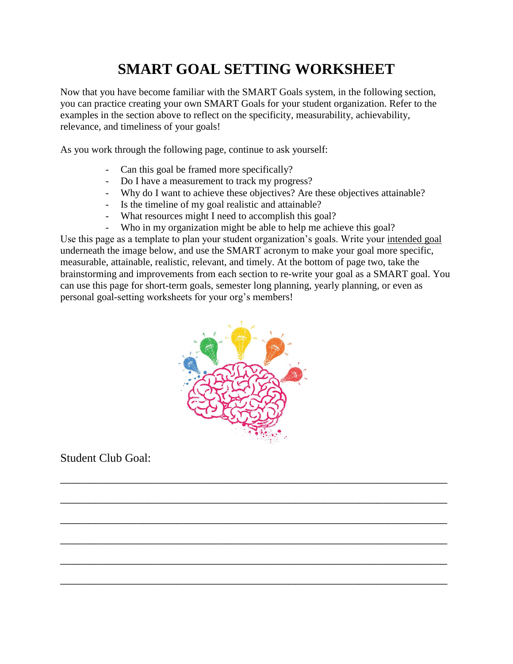# **SMART GOAL SETTING WORKSHEET**

Now that you have become familiar with the SMART Goals system, in the following section, you can practice creating your own SMART Goals for your student organization. Refer to the examples in the section above to reflect on the specificity, measurability, achievability, relevance, and timeliness of your goals!

As you work through the following page, continue to ask yourself:

- Can this goal be framed more specifically?
- Do I have a measurement to track my progress?
- Why do I want to achieve these objectives? Are these objectives attainable?
- Is the timeline of my goal realistic and attainable?
- What resources might I need to accomplish this goal?
- Who in my organization might be able to help me achieve this goal?

Use this page as a template to plan your student organization's goals. Write your intended goal underneath the image below, and use the SMART acronym to make your goal more specific, measurable, attainable, realistic, relevant, and timely. At the bottom of page two, take the brainstorming and improvements from each section to re-write your goal as a SMART goal. You can use this page for short-term goals, semester long planning, yearly planning, or even as personal goal-setting worksheets for your org's members!



 $\overline{\phantom{a}}$  , and the contribution of the contribution of the contribution of the contribution of the contribution of the contribution of the contribution of the contribution of the contribution of the contribution of the

 $\overline{a_1}$  ,  $\overline{a_2}$  ,  $\overline{a_3}$  ,  $\overline{a_4}$  ,  $\overline{a_5}$  ,  $\overline{a_6}$  ,  $\overline{a_7}$  ,  $\overline{a_8}$  ,  $\overline{a_9}$  ,  $\overline{a_9}$  ,  $\overline{a_9}$  ,  $\overline{a_9}$  ,  $\overline{a_9}$  ,  $\overline{a_9}$  ,  $\overline{a_9}$  ,  $\overline{a_9}$  ,  $\overline{a_9}$  ,

 $\overline{a_1}$  ,  $\overline{a_2}$  ,  $\overline{a_3}$  ,  $\overline{a_4}$  ,  $\overline{a_5}$  ,  $\overline{a_6}$  ,  $\overline{a_7}$  ,  $\overline{a_8}$  ,  $\overline{a_9}$  ,  $\overline{a_9}$  ,  $\overline{a_9}$  ,  $\overline{a_9}$  ,  $\overline{a_9}$  ,  $\overline{a_9}$  ,  $\overline{a_9}$  ,  $\overline{a_9}$  ,  $\overline{a_9}$  ,

 $\overline{\phantom{a}}$  , and the contract of the contract of the contract of the contract of the contract of the contract of the contract of the contract of the contract of the contract of the contract of the contract of the contrac

 $\overline{a_1}$  ,  $\overline{a_2}$  ,  $\overline{a_3}$  ,  $\overline{a_4}$  ,  $\overline{a_5}$  ,  $\overline{a_6}$  ,  $\overline{a_7}$  ,  $\overline{a_8}$  ,  $\overline{a_9}$  ,  $\overline{a_9}$  ,  $\overline{a_9}$  ,  $\overline{a_9}$  ,  $\overline{a_9}$  ,  $\overline{a_9}$  ,  $\overline{a_9}$  ,  $\overline{a_9}$  ,  $\overline{a_9}$  ,

\_\_\_\_\_\_\_\_\_\_\_\_\_\_\_\_\_\_\_\_\_\_\_\_\_\_\_\_\_\_\_\_\_\_\_\_\_\_\_\_\_\_\_\_\_\_\_\_\_\_\_\_\_\_\_\_\_\_\_\_\_\_\_\_\_\_

Student Club Goal: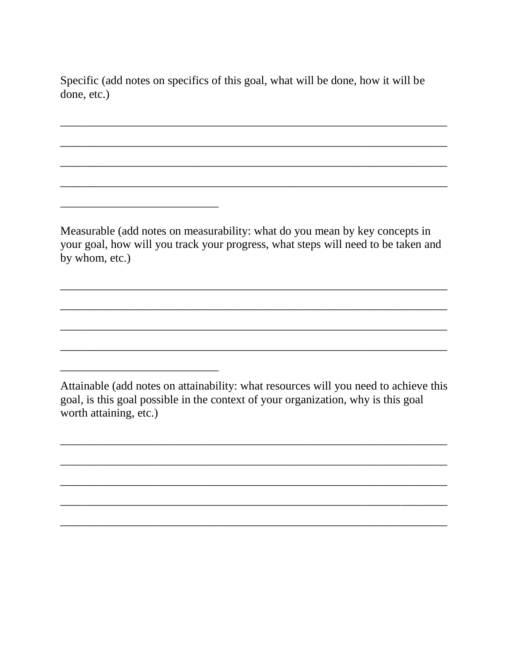Specific (add notes on specifics of this goal, what will be done, how it will be done, etc.)

Measurable (add notes on measurability: what do you mean by key concepts in your goal, how will you track your progress, what steps will need to be taken and by whom, etc.)

Attainable (add notes on attainability: what resources will you need to achieve this goal, is this goal possible in the context of your organization, why is this goal worth attaining, etc.)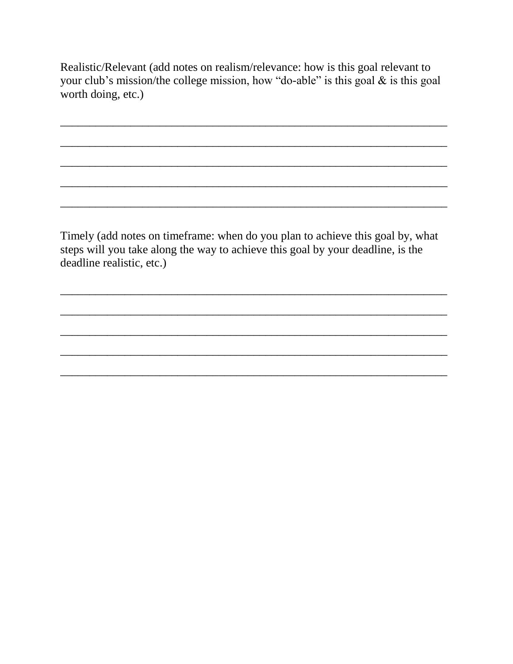Realistic/Relevant (add notes on realism/relevance: how is this goal relevant to your club's mission/the college mission, how "do-able" is this goal  $\&$  is this goal worth doing, etc.)

Timely (add notes on timeframe: when do you plan to achieve this goal by, what steps will you take along the way to achieve this goal by your deadline, is the deadline realistic, etc.)